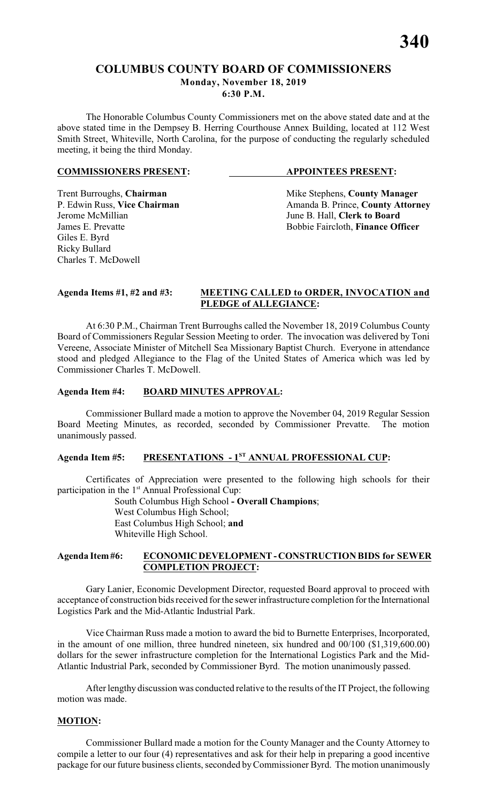The Honorable Columbus County Commissioners met on the above stated date and at the above stated time in the Dempsey B. Herring Courthouse Annex Building, located at 112 West Smith Street, Whiteville, North Carolina, for the purpose of conducting the regularly scheduled meeting, it being the third Monday.

#### **COMMISSIONERS PRESENT: APPOINTEES PRESENT:**

Giles E. Byrd Ricky Bullard Charles T. McDowell

Trent Burroughs, **Chairman** Mike Stephens, **County Manager** P. Edwin Russ, Vice Chairman Manager Amanda B. Prince, **County Attorn** P. Edwin Russ, **Vice Chairman** Amanda B. Prince, **County Attorney**<br>Jerome McMillian June B. Hall. Clerk to Board June B. Hall, **Clerk to Board** James E. Prevatte **Bobbie Faircloth**, **Finance Officer** 

#### **Agenda Items #1, #2 and #3: MEETING CALLED to ORDER, INVOCATION and PLEDGE of ALLEGIANCE:**

At 6:30 P.M., Chairman Trent Burroughs called the November 18, 2019 Columbus County Board of Commissioners Regular Session Meeting to order. The invocation was delivered by Toni Vereene, Associate Minister of Mitchell Sea Missionary Baptist Church. Everyone in attendance stood and pledged Allegiance to the Flag of the United States of America which was led by Commissioner Charles T. McDowell.

# **Agenda Item #4: BOARD MINUTES APPROVAL:**

Commissioner Bullard made a motion to approve the November 04, 2019 Regular Session Board Meeting Minutes, as recorded, seconded by Commissioner Prevatte. The motion unanimously passed.

# Agenda Item #5: **PRESENTATIONS - 1<sup>ST</sup> ANNUAL PROFESSIONAL CUP:**

Certificates of Appreciation were presented to the following high schools for their participation in the 1<sup>st</sup> Annual Professional Cup:

South Columbus High School **- Overall Champions**; West Columbus High School; East Columbus High School; **and** Whiteville High School.

#### **Agenda Item #6: ECONOMIC DEVELOPMENT - CONSTRUCTION BIDS for SEWER COMPLETION PROJECT:**

Gary Lanier, Economic Development Director, requested Board approval to proceed with acceptance of construction bids received for the sewer infrastructure completion for the International Logistics Park and the Mid-Atlantic Industrial Park.

Vice Chairman Russ made a motion to award the bid to Burnette Enterprises, Incorporated, in the amount of one million, three hundred nineteen, six hundred and 00/100 (\$1,319,600.00) dollars for the sewer infrastructure completion for the International Logistics Park and the Mid-Atlantic Industrial Park, seconded by Commissioner Byrd. The motion unanimously passed.

After lengthy discussion was conducted relative to the results of the IT Project, the following motion was made.

# **MOTION:**

Commissioner Bullard made a motion for the County Manager and the County Attorney to compile a letter to our four (4) representatives and ask for their help in preparing a good incentive package for our future business clients, seconded byCommissioner Byrd. The motion unanimously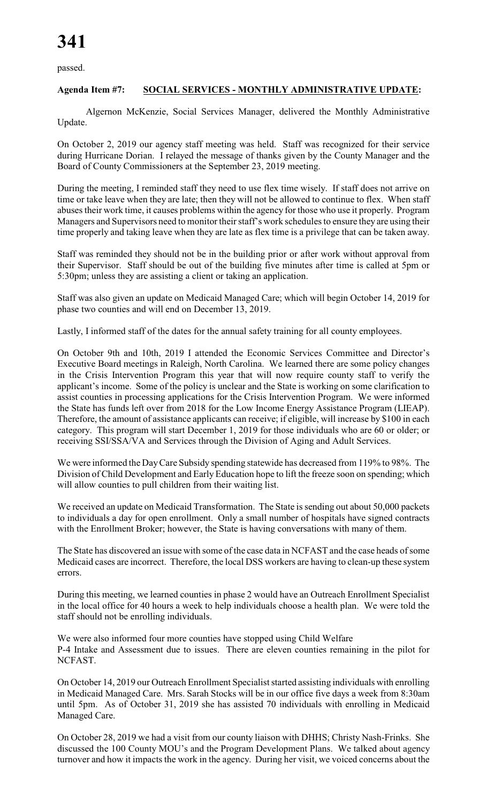passed.

# **Agenda Item #7: SOCIAL SERVICES - MONTHLY ADMINISTRATIVE UPDATE:**

Algernon McKenzie, Social Services Manager, delivered the Monthly Administrative Update.

On October 2, 2019 our agency staff meeting was held. Staff was recognized for their service during Hurricane Dorian. I relayed the message of thanks given by the County Manager and the Board of County Commissioners at the September 23, 2019 meeting.

During the meeting, I reminded staff they need to use flex time wisely. If staff does not arrive on time or take leave when they are late; then they will not be allowed to continue to flex. When staff abuses their work time, it causes problems within the agency for those who use it properly. Program Managers and Supervisors need to monitor their staff's work schedules to ensure they are using their time properly and taking leave when they are late as flex time is a privilege that can be taken away.

Staff was reminded they should not be in the building prior or after work without approval from their Supervisor. Staff should be out of the building five minutes after time is called at 5pm or 5:30pm; unless they are assisting a client or taking an application.

Staff was also given an update on Medicaid Managed Care; which will begin October 14, 2019 for phase two counties and will end on December 13, 2019.

Lastly, I informed staff of the dates for the annual safety training for all county employees.

On October 9th and 10th, 2019 I attended the Economic Services Committee and Director's Executive Board meetings in Raleigh, North Carolina. We learned there are some policy changes in the Crisis Intervention Program this year that will now require county staff to verify the applicant's income. Some of the policy is unclear and the State is working on some clarification to assist counties in processing applications for the Crisis Intervention Program. We were informed the State has funds left over from 2018 for the Low Income Energy Assistance Program (LIEAP). Therefore, the amount of assistance applicants can receive; if eligible, will increase by \$100 in each category. This program will start December 1, 2019 for those individuals who are 60 or older; or receiving SSI/SSA/VA and Services through the Division of Aging and Adult Services.

We were informed the Day Care Subsidy spending statewide has decreased from 119% to 98%. The Division of Child Development and Early Education hope to lift the freeze soon on spending; which will allow counties to pull children from their waiting list.

We received an update on Medicaid Transformation. The State is sending out about 50,000 packets to individuals a day for open enrollment. Only a small number of hospitals have signed contracts with the Enrollment Broker; however, the State is having conversations with many of them.

The State has discovered an issue with some of the case data in NCFAST and the case heads of some Medicaid cases are incorrect. Therefore, the local DSS workers are having to clean-up these system errors.

During this meeting, we learned counties in phase 2 would have an Outreach Enrollment Specialist in the local office for 40 hours a week to help individuals choose a health plan. We were told the staff should not be enrolling individuals.

We were also informed four more counties have stopped using Child Welfare P-4 Intake and Assessment due to issues. There are eleven counties remaining in the pilot for NCFAST.

On October 14, 2019 our Outreach Enrollment Specialist started assisting individuals with enrolling in Medicaid Managed Care. Mrs. Sarah Stocks will be in our office five days a week from 8:30am until 5pm. As of October 31, 2019 she has assisted 70 individuals with enrolling in Medicaid Managed Care.

On October 28, 2019 we had a visit from our county liaison with DHHS; Christy Nash-Frinks. She discussed the 100 County MOU's and the Program Development Plans. We talked about agency turnover and how it impacts the work in the agency. During her visit, we voiced concerns about the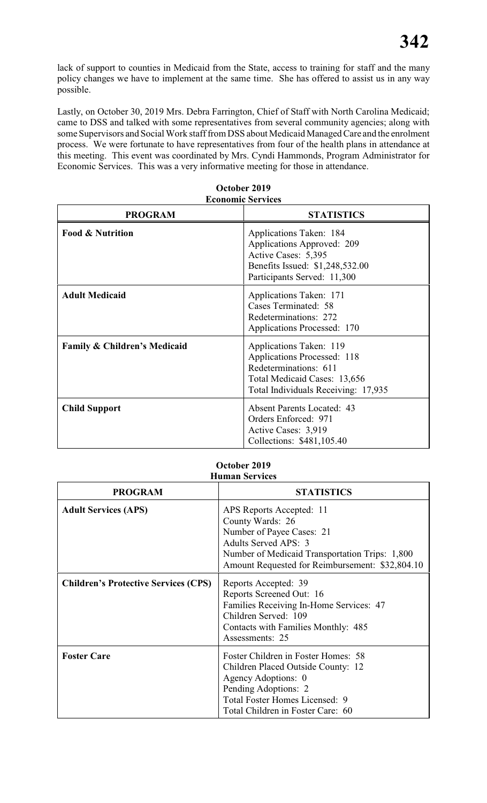lack of support to counties in Medicaid from the State, access to training for staff and the many policy changes we have to implement at the same time. She has offered to assist us in any way possible.

Lastly, on October 30, 2019 Mrs. Debra Farrington, Chief of Staff with North Carolina Medicaid; came to DSS and talked with some representatives from several community agencies; along with some Supervisors and Social Work staff from DSS about Medicaid Managed Care and the enrolment process. We were fortunate to have representatives from four of the health plans in attendance at this meeting. This event was coordinated by Mrs. Cyndi Hammonds, Program Administrator for Economic Services. This was a very informative meeting for those in attendance.

| <b>PROGRAM</b>                          | <b>STATISTICS</b>                                                                                                                                             |
|-----------------------------------------|---------------------------------------------------------------------------------------------------------------------------------------------------------------|
| <b>Food &amp; Nutrition</b>             | Applications Taken: 184<br>Applications Approved: 209<br>Active Cases: 5,395<br>Benefits Issued: \$1,248,532.00<br>Participants Served: 11,300                |
| <b>Adult Medicaid</b>                   | Applications Taken: 171<br>Cases Terminated: 58<br>Redeterminations: 272<br>Applications Processed: 170                                                       |
| <b>Family &amp; Children's Medicaid</b> | Applications Taken: 119<br><b>Applications Processed: 118</b><br>Redeterminations: 611<br>Total Medicaid Cases: 13,656<br>Total Individuals Receiving: 17,935 |
| <b>Child Support</b>                    | <b>Absent Parents Located: 43</b><br>Orders Enforced: 971<br>Active Cases: 3,919<br>Collections: \$481,105.40                                                 |

#### **October 2019 Economic Services**

#### **October 2019 Human Services**

| <b>PROGRAM</b>                              | <b>STATISTICS</b>                                                                                                                                                                                             |
|---------------------------------------------|---------------------------------------------------------------------------------------------------------------------------------------------------------------------------------------------------------------|
| <b>Adult Services (APS)</b>                 | APS Reports Accepted: 11<br>County Wards: 26<br>Number of Payee Cases: 21<br><b>Adults Served APS: 3</b><br>Number of Medicaid Transportation Trips: 1,800<br>Amount Requested for Reimbursement: \$32,804.10 |
| <b>Children's Protective Services (CPS)</b> | Reports Accepted: 39<br>Reports Screened Out: 16<br>Families Receiving In-Home Services: 47<br>Children Served: 109<br>Contacts with Families Monthly: 485<br>Assessments: 25                                 |
| <b>Foster Care</b>                          | Foster Children in Foster Homes: 58<br>Children Placed Outside County: 12<br>Agency Adoptions: 0<br>Pending Adoptions: 2<br>Total Foster Homes Licensed: 9<br>Total Children in Foster Care: 60               |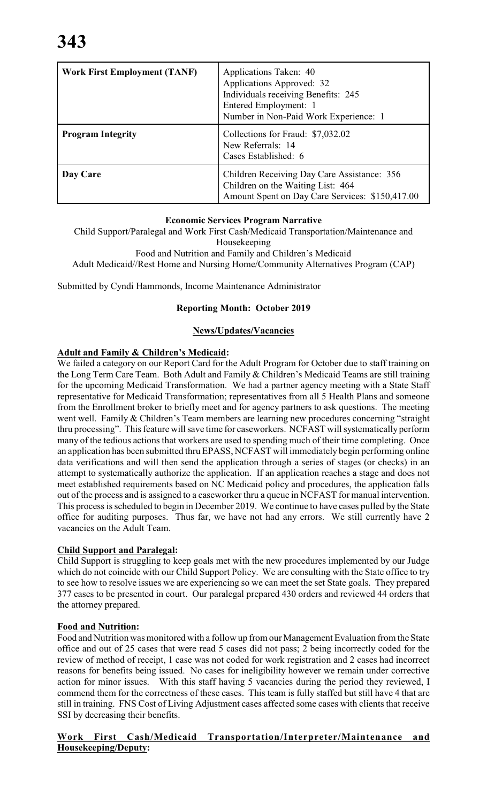| <b>Work First Employment (TANF)</b> | Applications Taken: 40<br>Applications Approved: 32<br>Individuals receiving Benefits: 245<br>Entered Employment: 1<br>Number in Non-Paid Work Experience: 1 |
|-------------------------------------|--------------------------------------------------------------------------------------------------------------------------------------------------------------|
| <b>Program Integrity</b>            | Collections for Fraud: \$7,032.02<br>New Referrals: 14<br>Cases Established: 6                                                                               |
| Day Care                            | Children Receiving Day Care Assistance: 356<br>Children on the Waiting List: 464<br>Amount Spent on Day Care Services: \$150,417.00                          |

# **Economic Services Program Narrative**

Child Support/Paralegal and Work First Cash/Medicaid Transportation/Maintenance and

Housekeeping

Food and Nutrition and Family and Children's Medicaid Adult Medicaid//Rest Home and Nursing Home/Community Alternatives Program (CAP)

Submitted by Cyndi Hammonds, Income Maintenance Administrator

#### **Reporting Month: October 2019**

#### **News/Updates/Vacancies**

#### **Adult and Family & Children's Medicaid:**

We failed a category on our Report Card for the Adult Program for October due to staff training on the Long Term Care Team. Both Adult and Family & Children's Medicaid Teams are still training for the upcoming Medicaid Transformation. We had a partner agency meeting with a State Staff representative for Medicaid Transformation; representatives from all 5 Health Plans and someone from the Enrollment broker to briefly meet and for agency partners to ask questions. The meeting went well. Family & Children's Team members are learning new procedures concerning "straight thru processing". This feature will save time for caseworkers. NCFAST will systematically perform many of the tedious actions that workers are used to spending much of their time completing. Once an application has been submitted thru EPASS, NCFAST will immediately begin performing online data verifications and will then send the application through a series of stages (or checks) in an attempt to systematically authorize the application. If an application reaches a stage and does not meet established requirements based on NC Medicaid policy and procedures, the application falls out of the process and is assigned to a caseworker thru a queue in NCFAST for manual intervention. This process is scheduled to begin in December 2019. We continue to have cases pulled by the State office for auditing purposes. Thus far, we have not had any errors. We still currently have 2 vacancies on the Adult Team.

# **Child Support and Paralegal:**

Child Support is struggling to keep goals met with the new procedures implemented by our Judge which do not coincide with our Child Support Policy. We are consulting with the State office to try to see how to resolve issues we are experiencing so we can meet the set State goals. They prepared 377 cases to be presented in court. Our paralegal prepared 430 orders and reviewed 44 orders that the attorney prepared.

# **Food and Nutrition:**

Food and Nutrition was monitored with a follow up from our Management Evaluation from the State office and out of 25 cases that were read 5 cases did not pass; 2 being incorrectly coded for the review of method of receipt, 1 case was not coded for work registration and 2 cases had incorrect reasons for benefits being issued. No cases for ineligibility however we remain under corrective action for minor issues. With this staff having 5 vacancies during the period they reviewed, I commend them for the correctness of these cases. This team is fully staffed but still have 4 that are still in training. FNS Cost of Living Adjustment cases affected some cases with clients that receive SSI by decreasing their benefits.

# **Work First Cash/Medicaid Transportation/Interpreter/Maintenance and Housekeeping/Deputy:**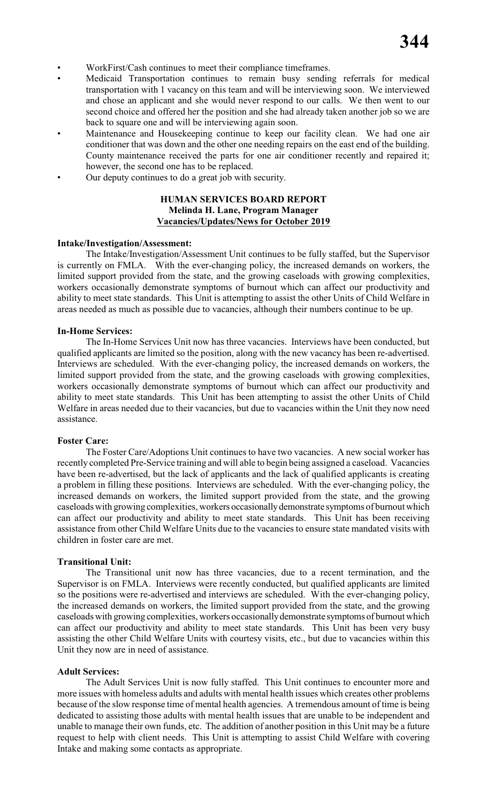- WorkFirst/Cash continues to meet their compliance timeframes.
- Medicaid Transportation continues to remain busy sending referrals for medical transportation with 1 vacancy on this team and will be interviewing soon. We interviewed and chose an applicant and she would never respond to our calls. We then went to our second choice and offered her the position and she had already taken another job so we are back to square one and will be interviewing again soon.
- Maintenance and Housekeeping continue to keep our facility clean. We had one air conditioner that was down and the other one needing repairs on the east end of the building. County maintenance received the parts for one air conditioner recently and repaired it; however, the second one has to be replaced.
- Our deputy continues to do a great job with security.

# **HUMAN SERVICES BOARD REPORT Melinda H. Lane, Program Manager Vacancies/Updates/News for October 2019**

#### **Intake/Investigation/Assessment:**

The Intake/Investigation/Assessment Unit continues to be fully staffed, but the Supervisor is currently on FMLA. With the ever-changing policy, the increased demands on workers, the limited support provided from the state, and the growing caseloads with growing complexities, workers occasionally demonstrate symptoms of burnout which can affect our productivity and ability to meet state standards. This Unit is attempting to assist the other Units of Child Welfare in areas needed as much as possible due to vacancies, although their numbers continue to be up.

#### **In-Home Services:**

The In-Home Services Unit now has three vacancies. Interviews have been conducted, but qualified applicants are limited so the position, along with the new vacancy has been re-advertised. Interviews are scheduled. With the ever-changing policy, the increased demands on workers, the limited support provided from the state, and the growing caseloads with growing complexities, workers occasionally demonstrate symptoms of burnout which can affect our productivity and ability to meet state standards. This Unit has been attempting to assist the other Units of Child Welfare in areas needed due to their vacancies, but due to vacancies within the Unit they now need assistance.

#### **Foster Care:**

The Foster Care/Adoptions Unit continues to have two vacancies. A new social worker has recently completed Pre-Service training and will able to begin being assigned a caseload. Vacancies have been re-advertised, but the lack of applicants and the lack of qualified applicants is creating a problem in filling these positions. Interviews are scheduled. With the ever-changing policy, the increased demands on workers, the limited support provided from the state, and the growing caseloads with growing complexities, workers occasionally demonstrate symptoms of burnout which can affect our productivity and ability to meet state standards. This Unit has been receiving assistance from other Child Welfare Units due to the vacancies to ensure state mandated visits with children in foster care are met.

#### **Transitional Unit:**

The Transitional unit now has three vacancies, due to a recent termination, and the Supervisor is on FMLA. Interviews were recently conducted, but qualified applicants are limited so the positions were re-advertised and interviews are scheduled. With the ever-changing policy, the increased demands on workers, the limited support provided from the state, and the growing caseloads with growing complexities, workers occasionally demonstrate symptoms of burnout which can affect our productivity and ability to meet state standards. This Unit has been very busy assisting the other Child Welfare Units with courtesy visits, etc., but due to vacancies within this Unit they now are in need of assistance.

#### **Adult Services:**

The Adult Services Unit is now fully staffed. This Unit continues to encounter more and more issues with homeless adults and adults with mental health issues which creates other problems because of the slow response time of mental health agencies. A tremendous amount of time is being dedicated to assisting those adults with mental health issues that are unable to be independent and unable to manage their own funds, etc. The addition of another position in this Unit may be a future request to help with client needs. This Unit is attempting to assist Child Welfare with covering Intake and making some contacts as appropriate.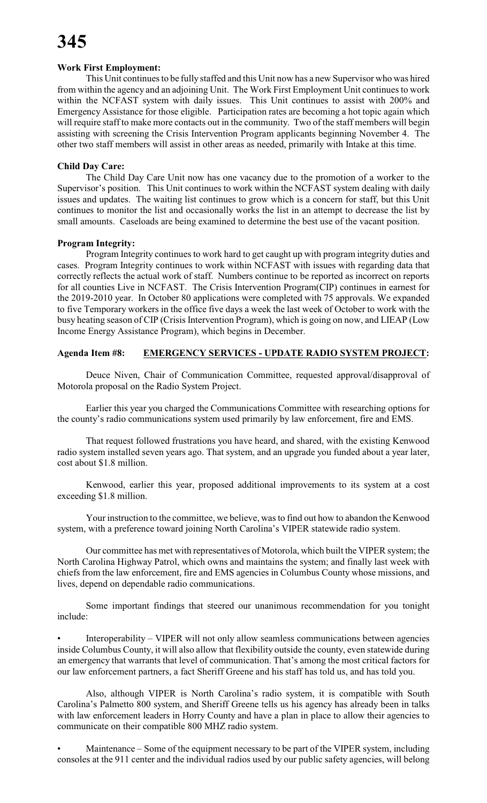# **Work First Employment:**

This Unit continues to be fully staffed and this Unit now has a new Supervisor who was hired from within the agency and an adjoining Unit. The Work First Employment Unit continues to work within the NCFAST system with daily issues. This Unit continues to assist with 200% and Emergency Assistance for those eligible. Participation rates are becoming a hot topic again which will require staff to make more contacts out in the community. Two of the staff members will begin assisting with screening the Crisis Intervention Program applicants beginning November 4. The other two staff members will assist in other areas as needed, primarily with Intake at this time.

# **Child Day Care:**

The Child Day Care Unit now has one vacancy due to the promotion of a worker to the Supervisor's position. This Unit continues to work within the NCFAST system dealing with daily issues and updates. The waiting list continues to grow which is a concern for staff, but this Unit continues to monitor the list and occasionally works the list in an attempt to decrease the list by small amounts. Caseloads are being examined to determine the best use of the vacant position.

# **Program Integrity:**

Program Integrity continues to work hard to get caught up with program integrity duties and cases. Program Integrity continues to work within NCFAST with issues with regarding data that correctly reflects the actual work of staff. Numbers continue to be reported as incorrect on reports for all counties Live in NCFAST. The Crisis Intervention Program(CIP) continues in earnest for the 2019-2010 year. In October 80 applications were completed with 75 approvals. We expanded to five Temporary workers in the office five days a week the last week of October to work with the busy heating season of CIP (Crisis Intervention Program), which is going on now, and LIEAP (Low Income Energy Assistance Program), which begins in December.

# **Agenda Item #8: EMERGENCY SERVICES - UPDATE RADIO SYSTEM PROJECT:**

Deuce Niven, Chair of Communication Committee, requested approval/disapproval of Motorola proposal on the Radio System Project.

Earlier this year you charged the Communications Committee with researching options for the county's radio communications system used primarily by law enforcement, fire and EMS.

That request followed frustrations you have heard, and shared, with the existing Kenwood radio system installed seven years ago. That system, and an upgrade you funded about a year later, cost about \$1.8 million.

Kenwood, earlier this year, proposed additional improvements to its system at a cost exceeding \$1.8 million.

Your instruction to the committee, we believe, was to find out how to abandon the Kenwood system, with a preference toward joining North Carolina's VIPER statewide radio system.

Our committee has met with representatives of Motorola, which built the VIPER system; the North Carolina Highway Patrol, which owns and maintains the system; and finally last week with chiefs from the law enforcement, fire and EMS agencies in Columbus County whose missions, and lives, depend on dependable radio communications.

Some important findings that steered our unanimous recommendation for you tonight include:

• Interoperability – VIPER will not only allow seamless communications between agencies inside Columbus County, it will also allow that flexibility outside the county, even statewide during an emergency that warrants that level of communication. That's among the most critical factors for our law enforcement partners, a fact Sheriff Greene and his staff has told us, and has told you.

Also, although VIPER is North Carolina's radio system, it is compatible with South Carolina's Palmetto 800 system, and Sheriff Greene tells us his agency has already been in talks with law enforcement leaders in Horry County and have a plan in place to allow their agencies to communicate on their compatible 800 MHZ radio system.

Maintenance – Some of the equipment necessary to be part of the VIPER system, including consoles at the 911 center and the individual radios used by our public safety agencies, will belong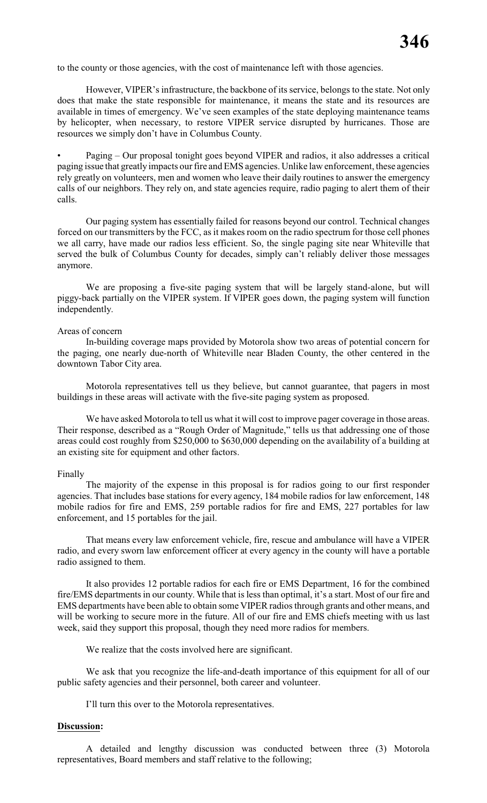to the county or those agencies, with the cost of maintenance left with those agencies.

However, VIPER's infrastructure, the backbone of its service, belongs to the state. Not only does that make the state responsible for maintenance, it means the state and its resources are available in times of emergency. We've seen examples of the state deploying maintenance teams by helicopter, when necessary, to restore VIPER service disrupted by hurricanes. Those are resources we simply don't have in Columbus County.

• Paging – Our proposal tonight goes beyond VIPER and radios, it also addresses a critical paging issue that greatly impacts our fire and EMS agencies. Unlike law enforcement, these agencies rely greatly on volunteers, men and women who leave their daily routines to answer the emergency calls of our neighbors. They rely on, and state agencies require, radio paging to alert them of their calls.

Our paging system has essentially failed for reasons beyond our control. Technical changes forced on our transmitters by the FCC, as it makes room on the radio spectrum for those cell phones we all carry, have made our radios less efficient. So, the single paging site near Whiteville that served the bulk of Columbus County for decades, simply can't reliably deliver those messages anymore.

We are proposing a five-site paging system that will be largely stand-alone, but will piggy-back partially on the VIPER system. If VIPER goes down, the paging system will function independently.

#### Areas of concern

In-building coverage maps provided by Motorola show two areas of potential concern for the paging, one nearly due-north of Whiteville near Bladen County, the other centered in the downtown Tabor City area.

Motorola representatives tell us they believe, but cannot guarantee, that pagers in most buildings in these areas will activate with the five-site paging system as proposed.

We have asked Motorola to tell us what it will cost to improve pager coverage in those areas. Their response, described as a "Rough Order of Magnitude," tells us that addressing one of those areas could cost roughly from \$250,000 to \$630,000 depending on the availability of a building at an existing site for equipment and other factors.

#### Finally

The majority of the expense in this proposal is for radios going to our first responder agencies. That includes base stations for every agency, 184 mobile radios for law enforcement, 148 mobile radios for fire and EMS, 259 portable radios for fire and EMS, 227 portables for law enforcement, and 15 portables for the jail.

That means every law enforcement vehicle, fire, rescue and ambulance will have a VIPER radio, and every sworn law enforcement officer at every agency in the county will have a portable radio assigned to them.

It also provides 12 portable radios for each fire or EMS Department, 16 for the combined fire/EMS departments in our county. While that is less than optimal, it's a start. Most of our fire and EMS departments have been able to obtain some VIPER radios through grants and other means, and will be working to secure more in the future. All of our fire and EMS chiefs meeting with us last week, said they support this proposal, though they need more radios for members.

We realize that the costs involved here are significant.

We ask that you recognize the life-and-death importance of this equipment for all of our public safety agencies and their personnel, both career and volunteer.

I'll turn this over to the Motorola representatives.

#### **Discussion:**

A detailed and lengthy discussion was conducted between three (3) Motorola representatives, Board members and staff relative to the following;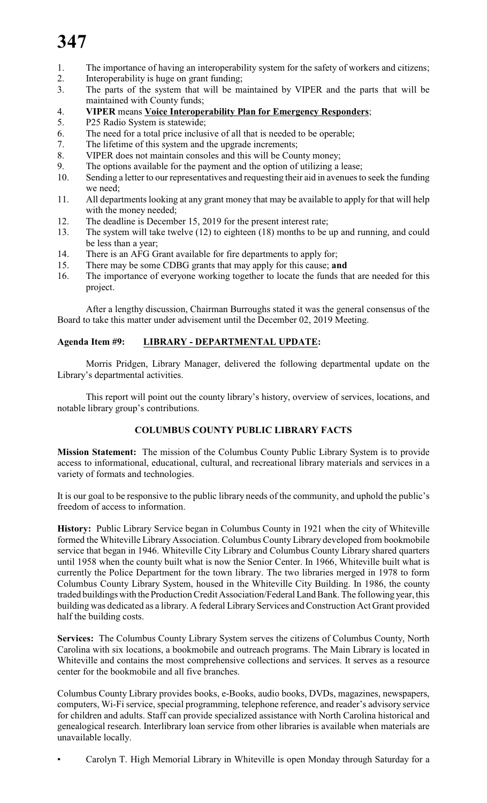# **347**

- 1. The importance of having an interoperability system for the safety of workers and citizens;
- 2. Interoperability is huge on grant funding;
- 3. The parts of the system that will be maintained by VIPER and the parts that will be maintained with County funds;
- 4. **VIPER** means **Voice Interoperability Plan for Emergency Responders**;<br>5. P25 Radio System is statewide:
- P25 Radio System is statewide;
- 6. The need for a total price inclusive of all that is needed to be operable;
- 7. The lifetime of this system and the upgrade increments;
- 8. VIPER does not maintain consoles and this will be County money;
- 9. The options available for the payment and the option of utilizing a lease;
- 10. Sending a letter to our representatives and requesting their aid in avenues to seek the funding we need;
- 11. All departments looking at any grant money that may be available to apply for that will help with the money needed;
- 12. The deadline is December 15, 2019 for the present interest rate;
- 13. The system will take twelve (12) to eighteen (18) months to be up and running, and could be less than a year;
- 14. There is an AFG Grant available for fire departments to apply for;
- 15. There may be some CDBG grants that may apply for this cause; **and**
- 16. The importance of everyone working together to locate the funds that are needed for this project.

After a lengthy discussion, Chairman Burroughs stated it was the general consensus of the Board to take this matter under advisement until the December 02, 2019 Meeting.

# **Agenda Item #9: LIBRARY - DEPARTMENTAL UPDATE:**

Morris Pridgen, Library Manager, delivered the following departmental update on the Library's departmental activities.

This report will point out the county library's history, overview of services, locations, and notable library group's contributions.

# **COLUMBUS COUNTY PUBLIC LIBRARY FACTS**

**Mission Statement:** The mission of the Columbus County Public Library System is to provide access to informational, educational, cultural, and recreational library materials and services in a variety of formats and technologies.

It is our goal to be responsive to the public library needs of the community, and uphold the public's freedom of access to information.

**History:** Public Library Service began in Columbus County in 1921 when the city of Whiteville formed the Whiteville Library Association. Columbus County Library developed from bookmobile service that began in 1946. Whiteville City Library and Columbus County Library shared quarters until 1958 when the county built what is now the Senior Center. In 1966, Whiteville built what is currently the Police Department for the town library. The two libraries merged in 1978 to form Columbus County Library System, housed in the Whiteville City Building. In 1986, the county traded buildings with the Production Credit Association/Federal Land Bank. The following year, this building was dedicated as a library. A federal Library Services and Construction Act Grant provided half the building costs.

**Services:** The Columbus County Library System serves the citizens of Columbus County, North Carolina with six locations, a bookmobile and outreach programs. The Main Library is located in Whiteville and contains the most comprehensive collections and services. It serves as a resource center for the bookmobile and all five branches.

Columbus County Library provides books, e-Books, audio books, DVDs, magazines, newspapers, computers, Wi-Fi service, special programming, telephone reference, and reader's advisory service for children and adults. Staff can provide specialized assistance with North Carolina historical and genealogical research. Interlibrary loan service from other libraries is available when materials are unavailable locally.

• Carolyn T. High Memorial Library in Whiteville is open Monday through Saturday for a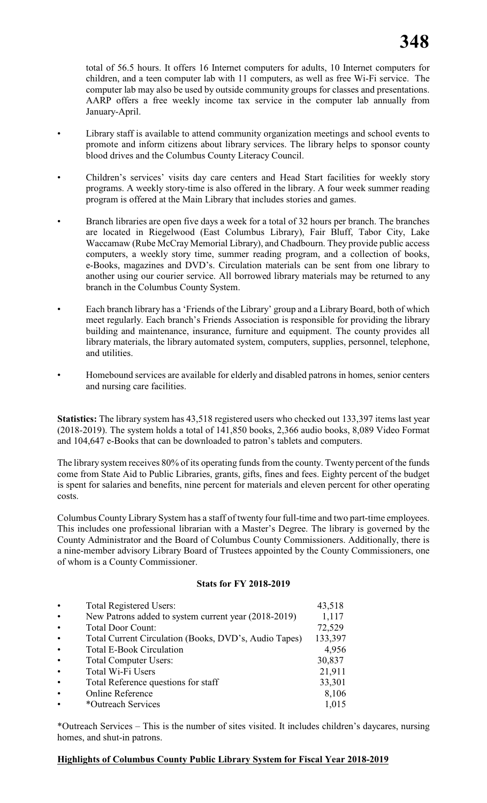total of 56.5 hours. It offers 16 Internet computers for adults, 10 Internet computers for children, and a teen computer lab with 11 computers, as well as free Wi-Fi service. The computer lab may also be used by outside community groups for classes and presentations. AARP offers a free weekly income tax service in the computer lab annually from January-April.

- Library staff is available to attend community organization meetings and school events to promote and inform citizens about library services. The library helps to sponsor county blood drives and the Columbus County Literacy Council.
- Children's services' visits day care centers and Head Start facilities for weekly story programs. A weekly story-time is also offered in the library. A four week summer reading program is offered at the Main Library that includes stories and games.
- Branch libraries are open five days a week for a total of 32 hours per branch. The branches are located in Riegelwood (East Columbus Library), Fair Bluff, Tabor City, Lake Waccamaw (Rube McCray Memorial Library), and Chadbourn. They provide public access computers, a weekly story time, summer reading program, and a collection of books, e-Books, magazines and DVD's. Circulation materials can be sent from one library to another using our courier service. All borrowed library materials may be returned to any branch in the Columbus County System.
- Each branch library has a 'Friends of the Library' group and a Library Board, both of which meet regularly. Each branch's Friends Association is responsible for providing the library building and maintenance, insurance, furniture and equipment. The county provides all library materials, the library automated system, computers, supplies, personnel, telephone, and utilities.
- Homebound services are available for elderly and disabled patrons in homes, senior centers and nursing care facilities.

**Statistics:** The library system has 43,518 registered users who checked out 133,397 items last year (2018-2019). The system holds a total of 141,850 books, 2,366 audio books, 8,089 Video Format and 104,647 e-Books that can be downloaded to patron's tablets and computers.

The library system receives 80% of its operating funds from the county. Twenty percent of the funds come from State Aid to Public Libraries, grants, gifts, fines and fees. Eighty percent of the budget is spent for salaries and benefits, nine percent for materials and eleven percent for other operating costs.

Columbus County Library System has a staff of twenty four full-time and two part-time employees. This includes one professional librarian with a Master's Degree. The library is governed by the County Administrator and the Board of Columbus County Commissioners. Additionally, there is a nine-member advisory Library Board of Trustees appointed by the County Commissioners, one of whom is a County Commissioner.

# **Stats for FY 2018-2019**

| New Patrons added to system current year (2018-2019)<br>$\bullet$<br><b>Total Door Count:</b><br>$\bullet$<br>Total Current Circulation (Books, DVD's, Audio Tapes)<br>$\bullet$<br><b>Total E-Book Circulation</b><br>$\bullet$<br><b>Total Computer Users:</b><br>$\bullet$<br>Total Wi-Fi Users<br>$\bullet$<br>Total Reference questions for staff<br>$\bullet$<br><b>Online Reference</b><br>$\bullet$<br>*Outreach Services<br>$\bullet$ | $\bullet$ | <b>Total Registered Users:</b> | 43,518  |
|------------------------------------------------------------------------------------------------------------------------------------------------------------------------------------------------------------------------------------------------------------------------------------------------------------------------------------------------------------------------------------------------------------------------------------------------|-----------|--------------------------------|---------|
|                                                                                                                                                                                                                                                                                                                                                                                                                                                |           |                                | 1,117   |
|                                                                                                                                                                                                                                                                                                                                                                                                                                                |           |                                | 72,529  |
|                                                                                                                                                                                                                                                                                                                                                                                                                                                |           |                                | 133,397 |
|                                                                                                                                                                                                                                                                                                                                                                                                                                                |           |                                | 4,956   |
|                                                                                                                                                                                                                                                                                                                                                                                                                                                |           |                                | 30,837  |
|                                                                                                                                                                                                                                                                                                                                                                                                                                                |           |                                | 21,911  |
|                                                                                                                                                                                                                                                                                                                                                                                                                                                |           |                                | 33,301  |
|                                                                                                                                                                                                                                                                                                                                                                                                                                                |           |                                | 8,106   |
|                                                                                                                                                                                                                                                                                                                                                                                                                                                |           |                                | 1,015   |

\*Outreach Services – This is the number of sites visited. It includes children's daycares, nursing homes, and shut-in patrons.

#### **Highlights of Columbus County Public Library System for Fiscal Year 2018-2019**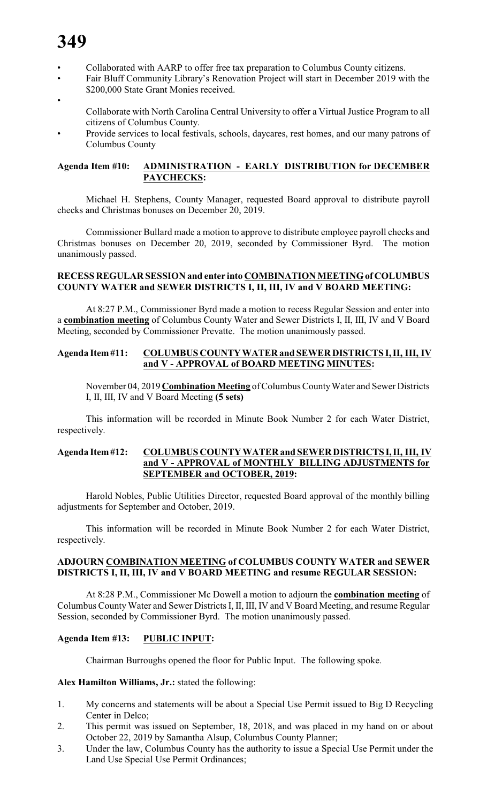# **349**

- Collaborated with AARP to offer free tax preparation to Columbus County citizens.
- Fair Bluff Community Library's Renovation Project will start in December 2019 with the \$200,000 State Grant Monies received.
- - Collaborate with North Carolina Central University to offer a Virtual Justice Program to all citizens of Columbus County.
- Provide services to local festivals, schools, daycares, rest homes, and our many patrons of Columbus County

# **Agenda Item #10: ADMINISTRATION - EARLY DISTRIBUTION for DECEMBER PAYCHECKS:**

Michael H. Stephens, County Manager, requested Board approval to distribute payroll checks and Christmas bonuses on December 20, 2019.

Commissioner Bullard made a motion to approve to distribute employee payroll checks and Christmas bonuses on December 20, 2019, seconded by Commissioner Byrd. The motion unanimously passed.

# **RECESS REGULAR SESSION and enter into COMBINATION MEETING of COLUMBUS COUNTY WATER and SEWER DISTRICTS I, II, III, IV and V BOARD MEETING:**

At 8:27 P.M., Commissioner Byrd made a motion to recess Regular Session and enter into a **combination meeting** of Columbus County Water and Sewer Districts I, II, III, IV and V Board Meeting, seconded by Commissioner Prevatte. The motion unanimously passed.

# **Agenda Item #11: COLUMBUS COUNTY WATER and SEWER DISTRICTS I, II, III, IV and V - APPROVAL of BOARD MEETING MINUTES:**

November 04, 2019 **Combination Meeting** of Columbus County Water and Sewer Districts I, II, III, IV and V Board Meeting **(5 sets)**

This information will be recorded in Minute Book Number 2 for each Water District, respectively.

# **Agenda Item #12: COLUMBUS COUNTY WATER and SEWER DISTRICTS I, II, III, IV and V - APPROVAL of MONTHLY BILLING ADJUSTMENTS for SEPTEMBER and OCTOBER, 2019:**

Harold Nobles, Public Utilities Director, requested Board approval of the monthly billing adjustments for September and October, 2019.

This information will be recorded in Minute Book Number 2 for each Water District, respectively.

# **ADJOURN COMBINATION MEETING of COLUMBUS COUNTY WATER and SEWER DISTRICTS I, II, III, IV and V BOARD MEETING and resume REGULAR SESSION:**

At 8:28 P.M., Commissioner Mc Dowell a motion to adjourn the **combination meeting** of Columbus County Water and Sewer Districts I, II, III, IV and V Board Meeting, and resume Regular Session, seconded by Commissioner Byrd. The motion unanimously passed.

# **Agenda Item #13: PUBLIC INPUT:**

Chairman Burroughs opened the floor for Public Input. The following spoke.

# **Alex Hamilton Williams, Jr.:** stated the following:

- 1. My concerns and statements will be about a Special Use Permit issued to Big D Recycling Center in Delco;
- 2. This permit was issued on September, 18, 2018, and was placed in my hand on or about October 22, 2019 by Samantha Alsup, Columbus County Planner;
- 3. Under the law, Columbus County has the authority to issue a Special Use Permit under the Land Use Special Use Permit Ordinances;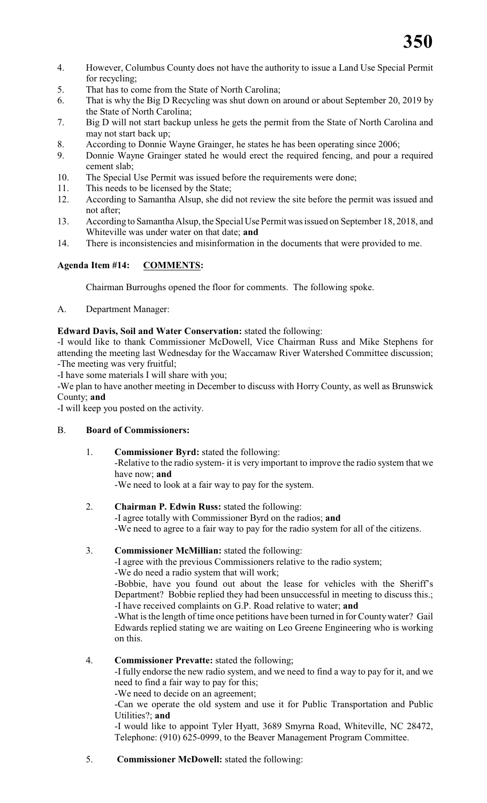- 4. However, Columbus County does not have the authority to issue a Land Use Special Permit for recycling;
- 5. That has to come from the State of North Carolina;
- 6. That is why the Big D Recycling was shut down on around or about September 20, 2019 by the State of North Carolina;
- 7. Big D will not start backup unless he gets the permit from the State of North Carolina and may not start back up;
- 8. According to Donnie Wayne Grainger, he states he has been operating since 2006;
- 9. Donnie Wayne Grainger stated he would erect the required fencing, and pour a required cement slab;
- 10. The Special Use Permit was issued before the requirements were done;
- 11. This needs to be licensed by the State;
- 12. According to Samantha Alsup, she did not review the site before the permit was issued and not after;
- 13. According to Samantha Alsup, the Special Use Permit was issued on September 18, 2018, and Whiteville was under water on that date; **and**
- 14. There is inconsistencies and misinformation in the documents that were provided to me.

# **Agenda Item #14: COMMENTS:**

Chairman Burroughs opened the floor for comments. The following spoke.

# A. Department Manager:

# **Edward Davis, Soil and Water Conservation:** stated the following:

-I would like to thank Commissioner McDowell, Vice Chairman Russ and Mike Stephens for attending the meeting last Wednesday for the Waccamaw River Watershed Committee discussion; -The meeting was very fruitful;

-I have some materials I will share with you;

-We plan to have another meeting in December to discuss with Horry County, as well as Brunswick County; **and**

-I will keep you posted on the activity.

# B. **Board of Commissioners:**

1. **Commissioner Byrd:** stated the following: -Relative to the radio system- it is very important to improve the radio system that we have now; **and** -We need to look at a fair way to pay for the system.

# 2. **Chairman P. Edwin Russ:** stated the following:

-I agree totally with Commissioner Byrd on the radios; **and** -We need to agree to a fair way to pay for the radio system for all of the citizens.

# 3. **Commissioner McMillian:** stated the following:

-I agree with the previous Commissioners relative to the radio system;

-We do need a radio system that will work;

-Bobbie, have you found out about the lease for vehicles with the Sheriff's Department? Bobbie replied they had been unsuccessful in meeting to discuss this.; -I have received complaints on G.P. Road relative to water; **and**

-What is the length of time once petitions have been turned in for Countywater? Gail Edwards replied stating we are waiting on Leo Greene Engineering who is working on this.

# 4. **Commissioner Prevatte:** stated the following;

-I fully endorse the new radio system, and we need to find a way to pay for it, and we need to find a fair way to pay for this;

-We need to decide on an agreement;

-Can we operate the old system and use it for Public Transportation and Public Utilities?; **and**

-I would like to appoint Tyler Hyatt, 3689 Smyrna Road, Whiteville, NC 28472, Telephone: (910) 625-0999, to the Beaver Management Program Committee.

5. **Commissioner McDowell:** stated the following: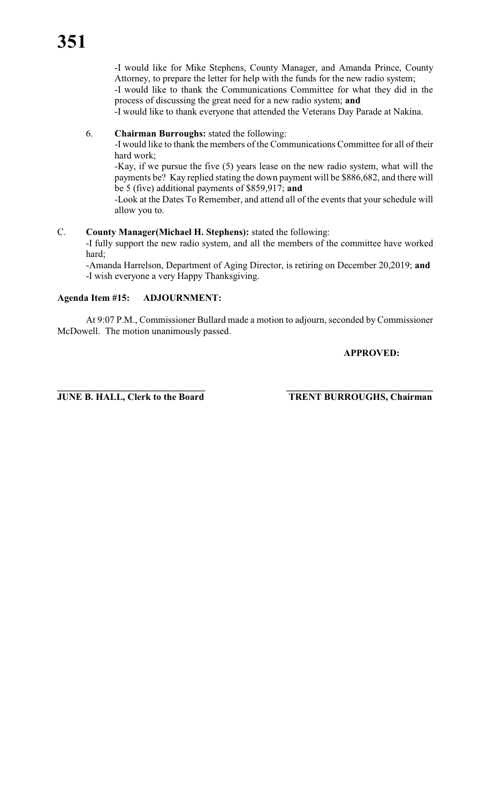-I would like for Mike Stephens, County Manager, and Amanda Prince, County Attorney, to prepare the letter for help with the funds for the new radio system; -I would like to thank the Communications Committee for what they did in the

process of discussing the great need for a new radio system; **and** -I would like to thank everyone that attended the Veterans Day Parade at Nakina.

# 6. **Chairman Burroughs:** stated the following:

-I would like to thank the members of the Communications Committee for all of their hard work;

-Kay, if we pursue the five (5) years lease on the new radio system, what will the payments be? Kay replied stating the down payment will be \$886,682, and there will be 5 (five) additional payments of \$859,917; **and**

-Look at the Dates To Remember, and attend all of the events that your schedule will allow you to.

# C. **County Manager(Michael H. Stephens):** stated the following:

-I fully support the new radio system, and all the members of the committee have worked hard;

-Amanda Harrelson, Department of Aging Director, is retiring on December 20,2019; **and** -I wish everyone a very Happy Thanksgiving.

# **Agenda Item #15: ADJOURNMENT:**

At 9:07 P.M., Commissioner Bullard made a motion to adjourn, seconded by Commissioner McDowell. The motion unanimously passed.

# **APPROVED:**

**JUNE B. HALL, Clerk to the Board TRENT BURROUGHS, Chairman**

**\_\_\_\_\_\_\_\_\_\_\_\_\_\_\_\_\_\_\_\_\_\_\_\_\_\_\_\_\_\_\_ \_\_\_\_\_\_\_\_\_\_\_\_\_\_\_\_\_\_\_\_\_\_\_\_\_\_\_\_\_\_\_**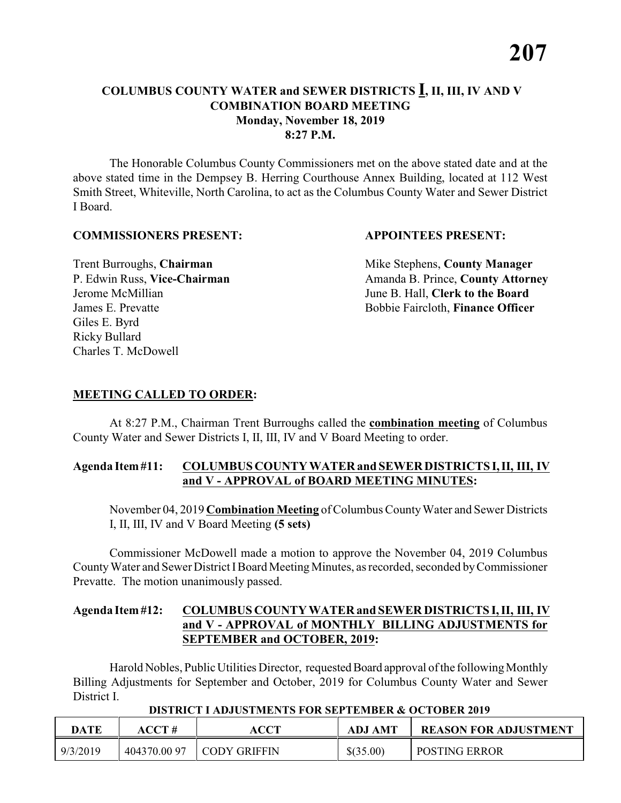The Honorable Columbus County Commissioners met on the above stated date and at the above stated time in the Dempsey B. Herring Courthouse Annex Building, located at 112 West Smith Street, Whiteville, North Carolina, to act as the Columbus County Water and Sewer District I Board.

#### **COMMISSIONERS PRESENT: APPOINTEES PRESENT:**

Giles E. Byrd Ricky Bullard Charles T. McDowell

**Trent Burroughs, Chairman** Mike Stephens, **County Manager** P. Edwin Russ, Vice-Chairman Amanda B. Prince, County Attorney Jerome McMillian June B. Hall, **Clerk to the Board** James E. Prevatte Bobbie Faircloth, **Finance Officer**

# **MEETING CALLED TO ORDER:**

At 8:27 P.M., Chairman Trent Burroughs called the **combination meeting** of Columbus County Water and Sewer Districts I, II, III, IV and V Board Meeting to order.

#### **Agenda Item #11: COLUMBUS COUNTY WATER and SEWER DISTRICTS I, II, III, IV and V - APPROVAL of BOARD MEETING MINUTES:**

November 04, 2019 **Combination Meeting** of Columbus County Water and Sewer Districts I, II, III, IV and V Board Meeting **(5 sets)**

Commissioner McDowell made a motion to approve the November 04, 2019 Columbus County Water and Sewer District IBoard Meeting Minutes, as recorded, seconded by Commissioner Prevatte. The motion unanimously passed.

# **Agenda Item #12: COLUMBUS COUNTY WATER and SEWER DISTRICTS I, II, III, IV and V - APPROVAL of MONTHLY BILLING ADJUSTMENTS for SEPTEMBER and OCTOBER, 2019:**

Harold Nobles, Public Utilities Director, requested Board approval of the following Monthly Billing Adjustments for September and October, 2019 for Columbus County Water and Sewer District I.

 **DISTRICT I ADJUSTMENTS FOR SEPTEMBER & OCTOBER 2019**

| DATE     | ACCT#       | <b>ACCT</b>         | <b>ADJ AMT</b> | <b>REASON FOR ADJUSTMENT</b> |
|----------|-------------|---------------------|----------------|------------------------------|
| 9/3/2019 | 404370.0097 | <b>CODY GRIFFIN</b> | \$(35.00)      | <b>POSTING ERROR</b>         |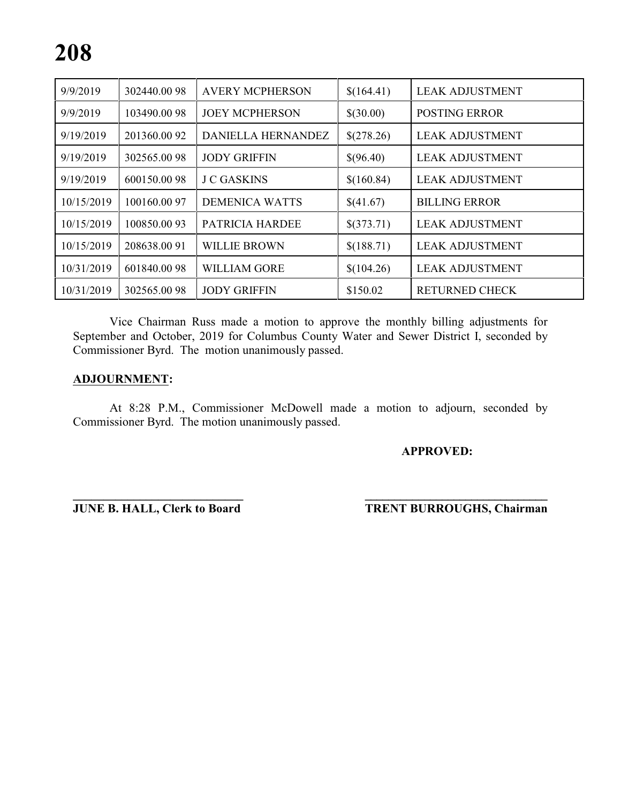| 9/9/2019   | 302440.0098 | <b>AVERY MCPHERSON</b> | \$(164.41) | <b>LEAK ADJUSTMENT</b> |
|------------|-------------|------------------------|------------|------------------------|
| 9/9/2019   | 103490.0098 | <b>JOEY MCPHERSON</b>  | \$(30.00)  | <b>POSTING ERROR</b>   |
| 9/19/2019  | 201360.0092 | DANIELLA HERNANDEZ     | \$(278.26) | <b>LEAK ADJUSTMENT</b> |
| 9/19/2019  | 302565.0098 | <b>JODY GRIFFIN</b>    | \$(96.40)  | <b>LEAK ADJUSTMENT</b> |
| 9/19/2019  | 600150.0098 | <b>J C GASKINS</b>     | \$(160.84) | <b>LEAK ADJUSTMENT</b> |
| 10/15/2019 | 100160.0097 | <b>DEMENICA WATTS</b>  | \$(41.67)  | <b>BILLING ERROR</b>   |
| 10/15/2019 | 100850.0093 | PATRICIA HARDEE        | \$(373.71) | <b>LEAK ADJUSTMENT</b> |
| 10/15/2019 | 208638.0091 | <b>WILLIE BROWN</b>    | \$(188.71) | <b>LEAK ADJUSTMENT</b> |
| 10/31/2019 | 601840.0098 | <b>WILLIAM GORE</b>    | \$(104.26) | <b>LEAK ADJUSTMENT</b> |
| 10/31/2019 | 302565.0098 | <b>JODY GRIFFIN</b>    | \$150.02   | <b>RETURNED CHECK</b>  |

Vice Chairman Russ made a motion to approve the monthly billing adjustments for September and October, 2019 for Columbus County Water and Sewer District I, seconded by Commissioner Byrd. The motion unanimously passed.

#### **ADJOURNMENT:**

At 8:28 P.M., Commissioner McDowell made a motion to adjourn, seconded by Commissioner Byrd. The motion unanimously passed.

**\_\_\_\_\_\_\_\_\_\_\_\_\_\_\_\_\_\_\_\_\_\_\_\_\_\_\_\_ \_\_\_\_\_\_\_\_\_\_\_\_\_\_\_\_\_\_\_\_\_\_\_\_\_\_\_\_\_\_\_**

**APPROVED:**

**JUNE B. HALL, Clerk to Board TRENT BURROUGHS, Chairman**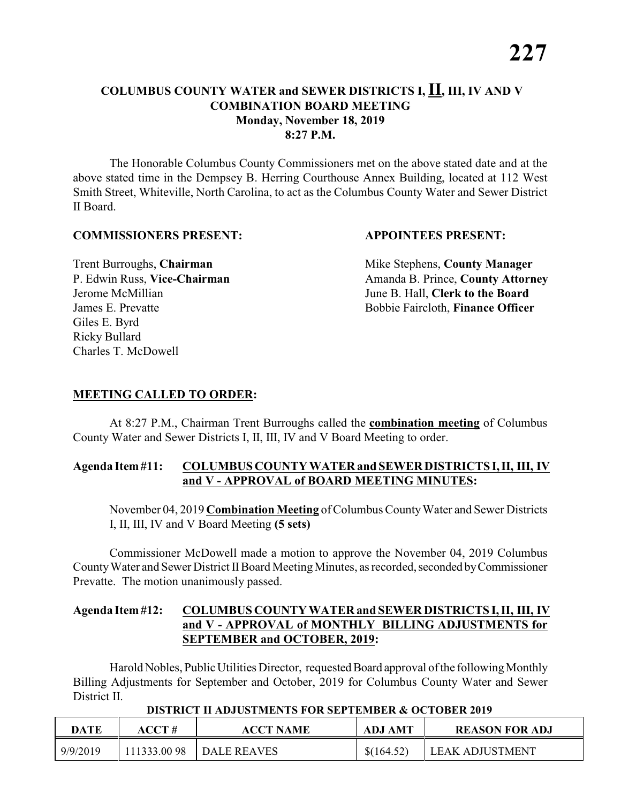The Honorable Columbus County Commissioners met on the above stated date and at the above stated time in the Dempsey B. Herring Courthouse Annex Building, located at 112 West Smith Street, Whiteville, North Carolina, to act as the Columbus County Water and Sewer District II Board.

#### **COMMISSIONERS PRESENT: APPOINTEES PRESENT:**

Giles E. Byrd Ricky Bullard Charles T. McDowell

**Trent Burroughs, Chairman** Mike Stephens, **County Manager** P. Edwin Russ, Vice-Chairman Amanda B. Prince, County Attorney Jerome McMillian June B. Hall, **Clerk to the Board** James E. Prevatte Bobbie Faircloth, **Finance Officer**

# **MEETING CALLED TO ORDER:**

At 8:27 P.M., Chairman Trent Burroughs called the **combination meeting** of Columbus County Water and Sewer Districts I, II, III, IV and V Board Meeting to order.

#### **Agenda Item #11: COLUMBUS COUNTY WATER and SEWER DISTRICTS I, II, III, IV and V - APPROVAL of BOARD MEETING MINUTES:**

November 04, 2019 **Combination Meeting** of Columbus County Water and Sewer Districts I, II, III, IV and V Board Meeting **(5 sets)**

Commissioner McDowell made a motion to approve the November 04, 2019 Columbus County Water and Sewer District II Board Meeting Minutes, as recorded, seconded by Commissioner Prevatte. The motion unanimously passed.

### **Agenda Item #12: COLUMBUS COUNTY WATER and SEWER DISTRICTS I, II, III, IV and V - APPROVAL of MONTHLY BILLING ADJUSTMENTS for SEPTEMBER and OCTOBER, 2019:**

Harold Nobles, Public Utilities Director, requested Board approval of the following Monthly Billing Adjustments for September and October, 2019 for Columbus County Water and Sewer District II.

| <b>DATE</b> | ACCT #      | <b>ACCT NAME</b> | <b>ADJ AMT</b> | <b>REASON FOR ADJ</b>  |
|-------------|-------------|------------------|----------------|------------------------|
| 9/9/2019    | 111333.0098 | DALE REAVES      | \$(164.52)     | <b>LEAK ADJUSTMENT</b> |

#### **DISTRICT II ADJUSTMENTS FOR SEPTEMBER & OCTOBER 2019**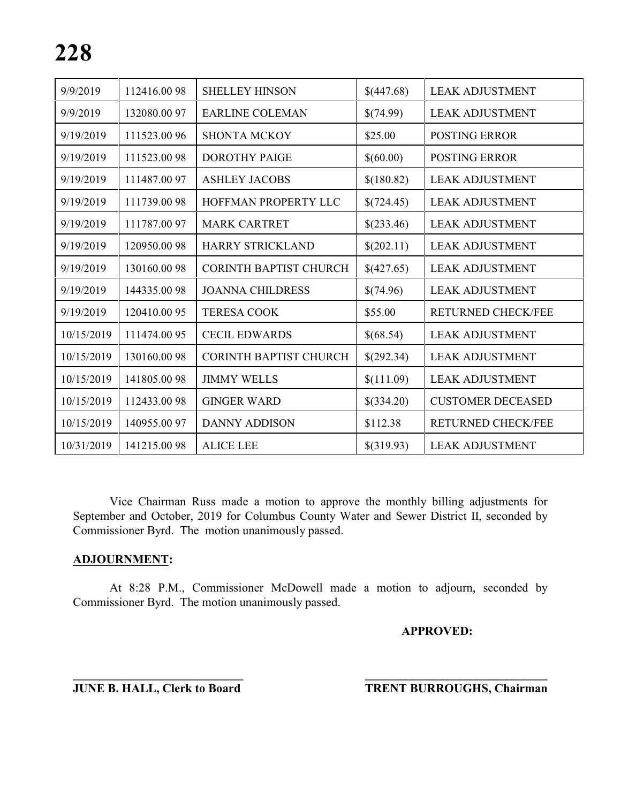| 9/9/2019   | 112416.0098 | <b>SHELLEY HINSON</b>         | \$(447.68) | <b>LEAK ADJUSTMENT</b>    |
|------------|-------------|-------------------------------|------------|---------------------------|
| 9/9/2019   | 132080.0097 | <b>EARLINE COLEMAN</b>        | \$(74.99)  | <b>LEAK ADJUSTMENT</b>    |
| 9/19/2019  | 111523.0096 | <b>SHONTA MCKOY</b>           | \$25.00    | <b>POSTING ERROR</b>      |
| 9/19/2019  | 111523.0098 | <b>DOROTHY PAIGE</b>          | \$(60.00)  | <b>POSTING ERROR</b>      |
| 9/19/2019  | 111487.0097 | <b>ASHLEY JACOBS</b>          | \$(180.82) | <b>LEAK ADJUSTMENT</b>    |
| 9/19/2019  | 111739.0098 | HOFFMAN PROPERTY LLC          | \$(724.45) | <b>LEAK ADJUSTMENT</b>    |
| 9/19/2019  | 111787.0097 | <b>MARK CARTRET</b>           | \$(233.46) | <b>LEAK ADJUSTMENT</b>    |
| 9/19/2019  | 120950.0098 | <b>HARRY STRICKLAND</b>       | \$(202.11) | <b>LEAK ADJUSTMENT</b>    |
| 9/19/2019  | 130160.0098 | <b>CORINTH BAPTIST CHURCH</b> | \$(427.65) | <b>LEAK ADJUSTMENT</b>    |
| 9/19/2019  | 144335.0098 | <b>JOANNA CHILDRESS</b>       | \$(74.96)  | <b>LEAK ADJUSTMENT</b>    |
| 9/19/2019  | 120410.0095 | <b>TERESA COOK</b>            | \$55.00    | <b>RETURNED CHECK/FEE</b> |
| 10/15/2019 | 111474.0095 | <b>CECIL EDWARDS</b>          | \$(68.54)  | <b>LEAK ADJUSTMENT</b>    |
| 10/15/2019 | 130160.0098 | <b>CORINTH BAPTIST CHURCH</b> | \$(292.34) | <b>LEAK ADJUSTMENT</b>    |
| 10/15/2019 | 141805.0098 | <b>JIMMY WELLS</b>            | \$(111.09) | <b>LEAK ADJUSTMENT</b>    |
| 10/15/2019 | 112433.0098 | <b>GINGER WARD</b>            | \$(334.20) | <b>CUSTOMER DECEASED</b>  |
| 10/15/2019 | 140955.0097 | <b>DANNY ADDISON</b>          | \$112.38   | <b>RETURNED CHECK/FEE</b> |
| 10/31/2019 | 141215.0098 | <b>ALICE LEE</b>              | \$(319.93) | <b>LEAK ADJUSTMENT</b>    |

Vice Chairman Russ made a motion to approve the monthly billing adjustments for September and October, 2019 for Columbus County Water and Sewer District II, seconded by Commissioner Byrd. The motion unanimously passed.

#### **ADJOURNMENT:**

At 8:28 P.M., Commissioner McDowell made a motion to adjourn, seconded by Commissioner Byrd. The motion unanimously passed.

**\_\_\_\_\_\_\_\_\_\_\_\_\_\_\_\_\_\_\_\_\_\_\_\_\_\_\_\_ \_\_\_\_\_\_\_\_\_\_\_\_\_\_\_\_\_\_\_\_\_\_\_\_\_\_\_\_\_\_\_**

#### **APPROVED:**

**JUNE B. HALL, Clerk to Board TRENT BURROUGHS, Chairman**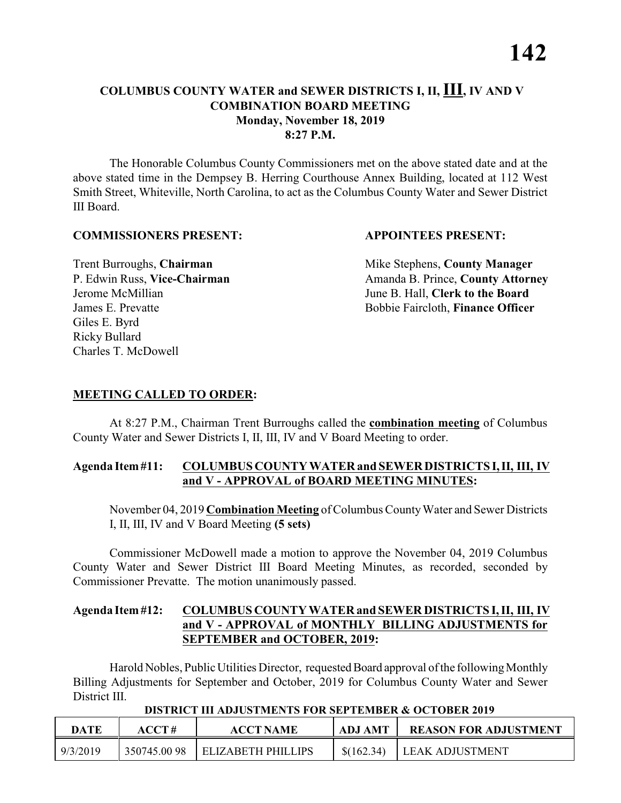The Honorable Columbus County Commissioners met on the above stated date and at the above stated time in the Dempsey B. Herring Courthouse Annex Building, located at 112 West Smith Street, Whiteville, North Carolina, to act as the Columbus County Water and Sewer District III Board.

#### **COMMISSIONERS PRESENT: APPOINTEES PRESENT:**

Giles E. Byrd Ricky Bullard Charles T. McDowell

**Trent Burroughs, Chairman** Mike Stephens, **County Manager** P. Edwin Russ, Vice-Chairman Amanda B. Prince, County Attorney Jerome McMillian June B. Hall, **Clerk to the Board** James E. Prevatte Bobbie Faircloth, **Finance Officer**

# **MEETING CALLED TO ORDER:**

At 8:27 P.M., Chairman Trent Burroughs called the **combination meeting** of Columbus County Water and Sewer Districts I, II, III, IV and V Board Meeting to order.

#### **Agenda Item #11: COLUMBUS COUNTY WATER and SEWER DISTRICTS I, II, III, IV and V - APPROVAL of BOARD MEETING MINUTES:**

November 04, 2019 **Combination Meeting** of Columbus County Water and Sewer Districts I, II, III, IV and V Board Meeting **(5 sets)**

Commissioner McDowell made a motion to approve the November 04, 2019 Columbus County Water and Sewer District III Board Meeting Minutes, as recorded, seconded by Commissioner Prevatte. The motion unanimously passed.

# **Agenda Item #12: COLUMBUS COUNTY WATER and SEWER DISTRICTS I, II, III, IV and V - APPROVAL of MONTHLY BILLING ADJUSTMENTS for SEPTEMBER and OCTOBER, 2019:**

Harold Nobles, Public Utilities Director, requested Board approval of the following Monthly Billing Adjustments for September and October, 2019 for Columbus County Water and Sewer District III.

| DATE     | ACCT #      | <b>ACCT NAME</b>   | <b>ADJ AMT</b> | <b>REASON FOR ADJUSTMENT</b> |  |  |
|----------|-------------|--------------------|----------------|------------------------------|--|--|
| 9/3/2019 | 350745.0098 | ELIZABETH PHILLIPS | \$(162.34)     | LEAK ADJUSTMENT              |  |  |

#### **DISTRICT III ADJUSTMENTS FOR SEPTEMBER & OCTOBER 2019**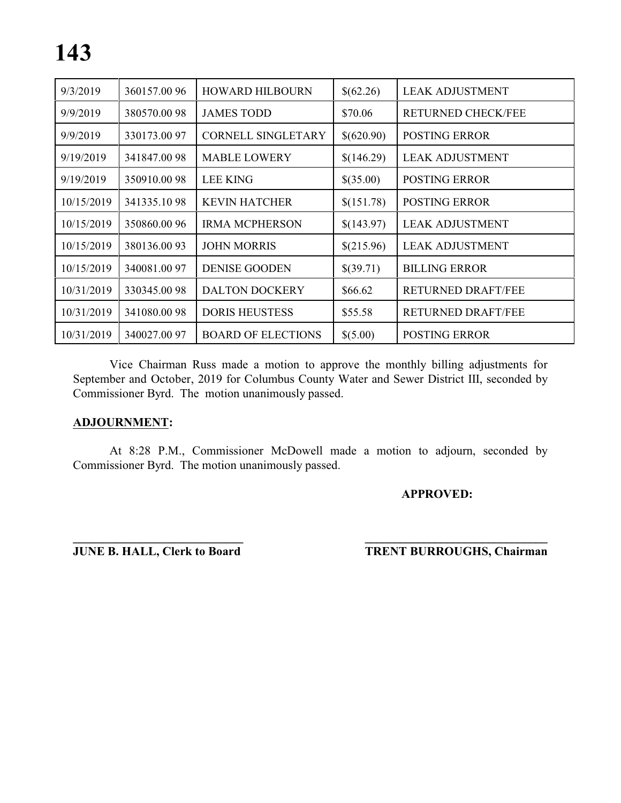| 9/3/2019   | 360157.0096 | <b>HOWARD HILBOURN</b>    | \$(62.26)  | <b>LEAK ADJUSTMENT</b>    |
|------------|-------------|---------------------------|------------|---------------------------|
| 9/9/2019   | 380570.0098 | <b>JAMES TODD</b>         | \$70.06    | <b>RETURNED CHECK/FEE</b> |
| 9/9/2019   | 330173.0097 | <b>CORNELL SINGLETARY</b> | \$(620.90) | <b>POSTING ERROR</b>      |
| 9/19/2019  | 341847.0098 | <b>MABLE LOWERY</b>       | \$(146.29) | <b>LEAK ADJUSTMENT</b>    |
| 9/19/2019  | 350910.0098 | LEE KING                  | \$(35.00)  | <b>POSTING ERROR</b>      |
| 10/15/2019 | 341335.1098 | <b>KEVIN HATCHER</b>      | \$(151.78) | <b>POSTING ERROR</b>      |
| 10/15/2019 | 350860.0096 | <b>IRMA MCPHERSON</b>     | \$(143.97) | <b>LEAK ADJUSTMENT</b>    |
| 10/15/2019 | 380136.0093 | <b>JOHN MORRIS</b>        | \$(215.96) | <b>LEAK ADJUSTMENT</b>    |
| 10/15/2019 | 340081.0097 | <b>DENISE GOODEN</b>      | \$(39.71)  | <b>BILLING ERROR</b>      |
| 10/31/2019 | 330345.0098 | <b>DALTON DOCKERY</b>     | \$66.62    | <b>RETURNED DRAFT/FEE</b> |
| 10/31/2019 | 341080.0098 | <b>DORIS HEUSTESS</b>     | \$55.58    | <b>RETURNED DRAFT/FEE</b> |
| 10/31/2019 | 340027.0097 | <b>BOARD OF ELECTIONS</b> | \$(5.00)   | <b>POSTING ERROR</b>      |

Vice Chairman Russ made a motion to approve the monthly billing adjustments for September and October, 2019 for Columbus County Water and Sewer District III, seconded by Commissioner Byrd. The motion unanimously passed.

#### **ADJOURNMENT:**

At 8:28 P.M., Commissioner McDowell made a motion to adjourn, seconded by Commissioner Byrd. The motion unanimously passed.

**APPROVED:**

**\_\_\_\_\_\_\_\_\_\_\_\_\_\_\_\_\_\_\_\_\_\_\_\_\_\_\_\_ \_\_\_\_\_\_\_\_\_\_\_\_\_\_\_\_\_\_\_\_\_\_\_\_\_\_\_\_\_\_\_ JUNE B. HALL, Clerk to Board TRENT BURROUGHS, Chairman**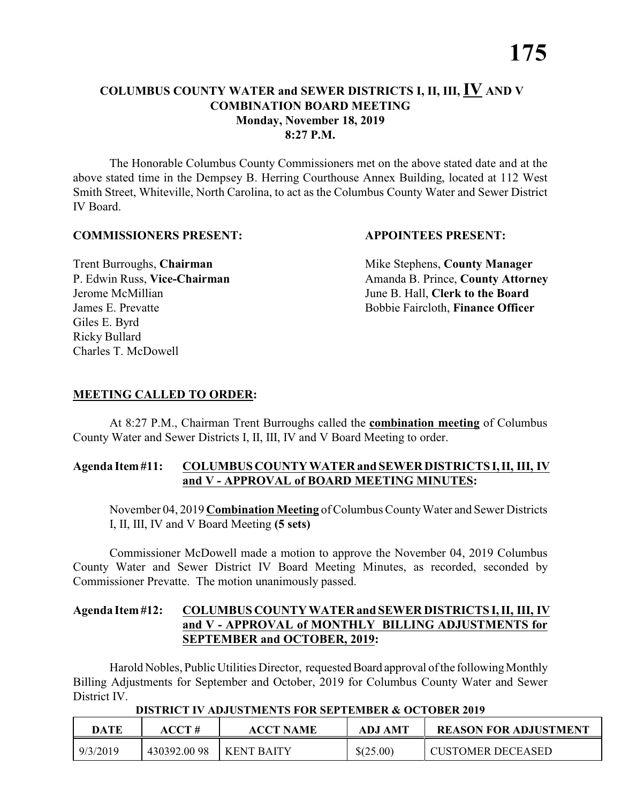The Honorable Columbus County Commissioners met on the above stated date and at the above stated time in the Dempsey B. Herring Courthouse Annex Building, located at 112 West Smith Street, Whiteville, North Carolina, to act as the Columbus County Water and Sewer District IV Board.

#### **COMMISSIONERS PRESENT: APPOINTEES PRESENT:**

Giles E. Byrd Ricky Bullard Charles T. McDowell

**Trent Burroughs, Chairman** Mike Stephens, **County Manager** P. Edwin Russ, Vice-Chairman Amanda B. Prince, County Attorney Jerome McMillian June B. Hall, **Clerk to the Board** James E. Prevatte Bobbie Faircloth, **Finance Officer**

# **MEETING CALLED TO ORDER:**

At 8:27 P.M., Chairman Trent Burroughs called the **combination meeting** of Columbus County Water and Sewer Districts I, II, III, IV and V Board Meeting to order.

#### **Agenda Item #11: COLUMBUS COUNTY WATER and SEWER DISTRICTS I, II, III, IV and V - APPROVAL of BOARD MEETING MINUTES:**

November 04, 2019 **Combination Meeting** of Columbus County Water and Sewer Districts I, II, III, IV and V Board Meeting **(5 sets)**

Commissioner McDowell made a motion to approve the November 04, 2019 Columbus County Water and Sewer District IV Board Meeting Minutes, as recorded, seconded by Commissioner Prevatte. The motion unanimously passed.

### **Agenda Item #12: COLUMBUS COUNTY WATER and SEWER DISTRICTS I, II, III, IV and V - APPROVAL of MONTHLY BILLING ADJUSTMENTS for SEPTEMBER and OCTOBER, 2019:**

Harold Nobles, Public Utilities Director, requested Board approval of the following Monthly Billing Adjustments for September and October, 2019 for Columbus County Water and Sewer District IV.

| DATE     | ACCT #      | <b>ACCT NAME</b>  | <b>ADJ AMT</b> | <b>REASON FOR ADJUSTMENT</b> |
|----------|-------------|-------------------|----------------|------------------------------|
| 9/3/2019 | 430392.0098 | <b>KENT BAITY</b> | \$(25.00)      | <b>CUSTOMER DECEASED</b>     |

#### **DISTRICT IV ADJUSTMENTS FOR SEPTEMBER & OCTOBER 2019**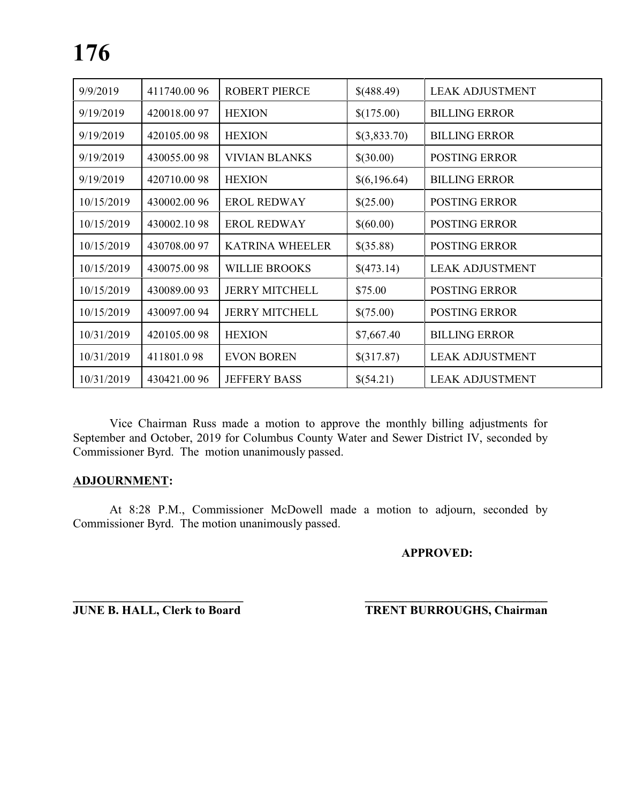| 9/9/2019   | 411740.0096  | <b>ROBERT PIERCE</b>   | \$(488.49)   | <b>LEAK ADJUSTMENT</b> |
|------------|--------------|------------------------|--------------|------------------------|
| 9/19/2019  | 420018.0097  | <b>HEXION</b>          | \$(175.00)   | <b>BILLING ERROR</b>   |
| 9/19/2019  | 420105.0098  | <b>HEXION</b>          | \$(3,833.70) | <b>BILLING ERROR</b>   |
| 9/19/2019  | 430055.0098  | <b>VIVIAN BLANKS</b>   | \$(30.00)    | <b>POSTING ERROR</b>   |
| 9/19/2019  | 420710.0098  | <b>HEXION</b>          | \$(6,196.64) | <b>BILLING ERROR</b>   |
| 10/15/2019 | 430002.00 96 | <b>EROL REDWAY</b>     | \$(25.00)    | <b>POSTING ERROR</b>   |
| 10/15/2019 | 430002.1098  | <b>EROL REDWAY</b>     | \$(60.00)    | <b>POSTING ERROR</b>   |
| 10/15/2019 | 430708.0097  | <b>KATRINA WHEELER</b> | \$(35.88)    | <b>POSTING ERROR</b>   |
| 10/15/2019 | 430075.0098  | <b>WILLIE BROOKS</b>   | \$(473.14)   | <b>LEAK ADJUSTMENT</b> |
| 10/15/2019 | 430089.0093  | <b>JERRY MITCHELL</b>  | \$75.00      | <b>POSTING ERROR</b>   |
| 10/15/2019 | 430097.0094  | <b>JERRY MITCHELL</b>  | \$(75.00)    | <b>POSTING ERROR</b>   |
| 10/31/2019 | 420105.0098  | <b>HEXION</b>          | \$7,667.40   | <b>BILLING ERROR</b>   |
| 10/31/2019 | 411801.098   | <b>EVON BOREN</b>      | \$(317.87)   | <b>LEAK ADJUSTMENT</b> |
| 10/31/2019 | 430421.0096  | <b>JEFFERY BASS</b>    | \$(54.21)    | <b>LEAK ADJUSTMENT</b> |

Vice Chairman Russ made a motion to approve the monthly billing adjustments for September and October, 2019 for Columbus County Water and Sewer District IV, seconded by Commissioner Byrd. The motion unanimously passed.

# **ADJOURNMENT:**

At 8:28 P.M., Commissioner McDowell made a motion to adjourn, seconded by Commissioner Byrd. The motion unanimously passed.

**\_\_\_\_\_\_\_\_\_\_\_\_\_\_\_\_\_\_\_\_\_\_\_\_\_\_\_\_ \_\_\_\_\_\_\_\_\_\_\_\_\_\_\_\_\_\_\_\_\_\_\_\_\_\_\_\_\_\_\_**

# **APPROVED:**

**JUNE B. HALL, Clerk to Board TRENT BURROUGHS, Chairman**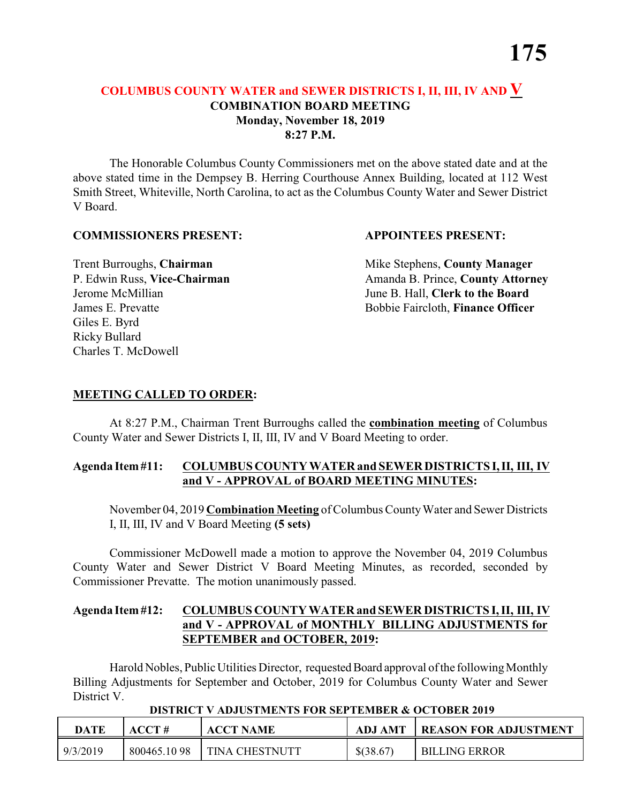The Honorable Columbus County Commissioners met on the above stated date and at the above stated time in the Dempsey B. Herring Courthouse Annex Building, located at 112 West Smith Street, Whiteville, North Carolina, to act as the Columbus County Water and Sewer District V Board.

#### **COMMISSIONERS PRESENT: APPOINTEES PRESENT:**

Giles E. Byrd Ricky Bullard Charles T. McDowell

**Trent Burroughs, Chairman** Mike Stephens, **County Manager** P. Edwin Russ, Vice-Chairman Amanda B. Prince, County Attorney Jerome McMillian June B. Hall, **Clerk to the Board** James E. Prevatte Bobbie Faircloth, **Finance Officer**

# **MEETING CALLED TO ORDER:**

At 8:27 P.M., Chairman Trent Burroughs called the **combination meeting** of Columbus County Water and Sewer Districts I, II, III, IV and V Board Meeting to order.

#### **Agenda Item #11: COLUMBUS COUNTY WATER and SEWER DISTRICTS I, II, III, IV and V - APPROVAL of BOARD MEETING MINUTES:**

November 04, 2019 **Combination Meeting** of Columbus County Water and Sewer Districts I, II, III, IV and V Board Meeting **(5 sets)**

Commissioner McDowell made a motion to approve the November 04, 2019 Columbus County Water and Sewer District V Board Meeting Minutes, as recorded, seconded by Commissioner Prevatte. The motion unanimously passed.

# **Agenda Item #12: COLUMBUS COUNTY WATER and SEWER DISTRICTS I, II, III, IV and V - APPROVAL of MONTHLY BILLING ADJUSTMENTS for SEPTEMBER and OCTOBER, 2019:**

Harold Nobles, Public Utilities Director, requested Board approval of the following Monthly Billing Adjustments for September and October, 2019 for Columbus County Water and Sewer District V.

| DATE     | $\bf ACCT#$ | <u>DISINOI (IDSOSINDI)ISTOILIDEITYMINEN SOLODEN SYL</u><br><b>ACCT NAME</b> | ADJ AMT     | <b>REASON FOR ADJUSTMENT</b> |
|----------|-------------|-----------------------------------------------------------------------------|-------------|------------------------------|
| 9/3/2019 | 800465.1098 | <b>TINA CHESTNUTT</b>                                                       | $$$ (38.67) | <b>BILLING ERROR</b>         |

#### **DISTRICT V ADJUSTMENTS FOR SEPTEMBER & OCTOBER 2019**